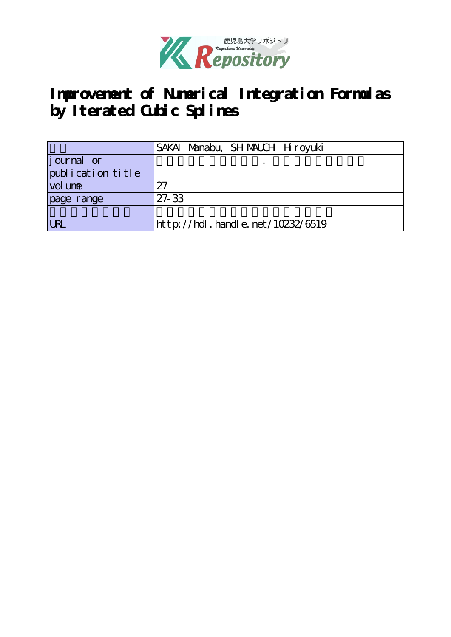

**Improvement of Numerical Integration Formulas by Iterated Cubic Splines**

|                   | SAKAI Manabu, SHMAUCH Hroyuki    |
|-------------------|----------------------------------|
| journal or        |                                  |
| publication title |                                  |
| vol une           | 27                               |
| page range        | $27 - 33$                        |
|                   |                                  |
| <b>LRL</b>        | http://hdl.handle.net/10232/6519 |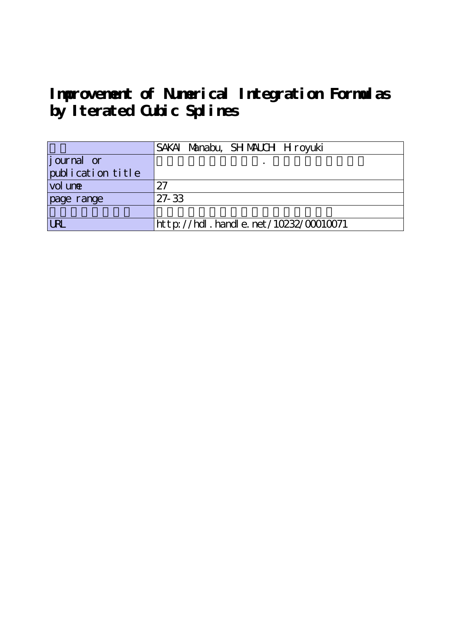**Improvement of Numerical Integration Formulas by Iterated Cubic Splines**

|                   | SAKAI Manabu, SHMAUCH Hiroyuki            |
|-------------------|-------------------------------------------|
| journal or        |                                           |
| publication title |                                           |
| vol une           | 27                                        |
| page range        | $27 - 33$                                 |
|                   |                                           |
| <b>LRL</b>        | $http$ ://hdl. handle. net/10232/00010071 |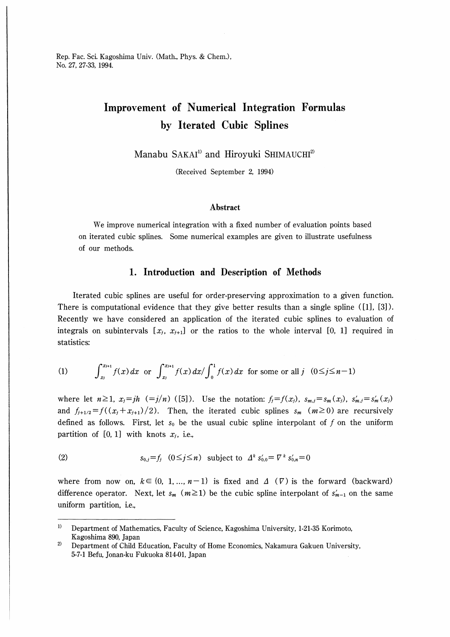Rep. Fac. Sci. Kagoshima Univ. (Math., Phys. & Chem.), No. 27, 27-33, 1994

# Improvement of Numerical Integration Formulas by Iterated Cubic Splines

Manabu SAKAI<sup>1)</sup> and Hiroyuki SHIMAUCHI<sup>2)</sup>

(Received September 2, 1994)

### Abstract

We improve numerical integration with a fixed number of evaluation points based on iterated cubic splines. Some numerical examples are given to illustrate usefulness of our methods.

## 1. Introduction and Description of Methods

Iterated cubic splines are useful for order-preserving approximation to a given function There is computational evidence that they give better results than a single spline ([1], [3]). Recently we have considered an application of the iterated cubic splines to evaluation of integrals on subintervals  $[x_j, x_{j+1}]$  or the ratios to the whole interval [0, 1] required in statistics:

(1) 
$$
\int_{x_j}^{x_{j+1}} f(x) dx \text{ or } \int_{x_j}^{x_{j+1}} f(x) dx / \int_0^1 f(x) dx \text{ for some or all } j \quad (0 \le j \le n-1)
$$

where let  $n\geq 1$ ,  $x_j=jh$  (=j/n)([5]). Use the notation:  $f_j=f(x_j)$ ,  $s_{m,j}=s_m(x_j)$ ,  $s'_{m,j}=s'_m(x_j)$ and  $f_{j+1/2}=f((x_j+x_{j+1})/2)$ . Then, the iterated cubic splines  $s_m$  ( $m\geq0$ ) are recursively defined as follows. First, let  $s_0$  be the usual cubic spline interpolant of f on the uniform partition of [0, 1] with knots  $x_j$ , i.e.,

(2) 
$$
s_{0,j} = f_j \quad (0 \le j \le n) \quad \text{subject to} \quad \Delta^k s'_{0,0} = \nabla^k s'_{0,n} = 0
$$

where from now on,  $k \in \{0, 1, ..., n-1\}$  is fixed and  $\Delta(\nabla)$  is the forward (backward) difference operator. Next, let  $s_m$  ( $m\geq 1$ ) be the cubic spline interpolant of  $s'_{m-1}$  on the same uniform partition, i.e.,

 $\bf{1}$ Department of Mathematics, Faculty of Science, Kagoshima University, 1-21-35 Korimoto, Kagoshima 890, Japan

 $2)$ Department of Child Education, Faculty of Home Economics, Nakamura Gakuen University, 5-7-1 Befu, Jonan-ku Fukuoka 814-01, Japan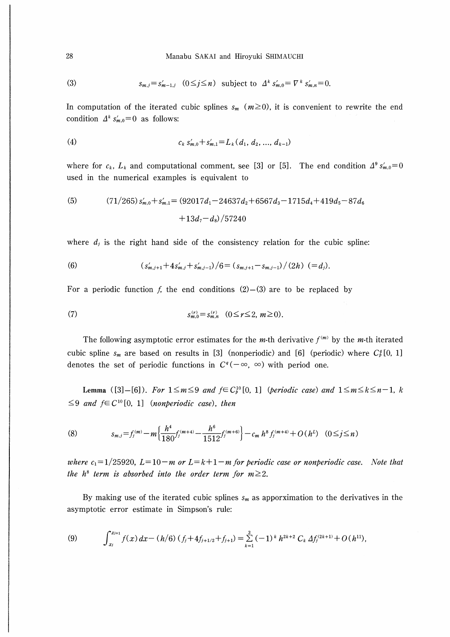(3) 
$$
s_{m,j}=s'_{m-1,j} \quad (0\leq j\leq n) \quad \text{subject to} \quad \Delta^k s'_{m,0}=\nabla^k s'_{m,n}=0.
$$

In computation of the iterated cubic splines  $s_m$  ( $m \ge 0$ ), it is convenient to rewrite the end condition  $\Delta^k s'_{m,0} = 0$  as follows:

$$
(4) \t\t c_k s'_{m,0} + s'_{m,1} = L_k (d_1, d_2, ..., d_{k-1})
$$

where for  $c_k$ ,  $L_k$  and computational comment, see [3] or [5]. The end condition  $\Delta^9 s'_{m,0} = 0$ used in the numerical examples is equivalent to

(5) 
$$
(71/265) s'_{m,0} + s'_{m,1} = (92017d_1 - 24637d_2 + 6567d_3 - 1715d_4 + 419d_5 - 87d_6 + 13d_7 - d_8)/57240
$$

where  $d_i$  is the right hand side of the consistency relation for the cubic spline:

(6) 
$$
(s'_{m,j+1}+4s'_{m,j}+s'_{m,j-1})/6=(s_{m,j+1}-s_{m,j-1})/(2h) (=d_j).
$$

For a periodic function f, the end conditions  $(2)$ – $(3)$  are to be replaced by

(7) 
$$
s_{m,0}^{(r)} = s_{m,n}^{(r)} \quad (0 \leq r \leq 2, m \geq 0).
$$

The following asymptotic error estimates for the *m*-th derivative  $f^{(m)}$  by the *m*-th iterated cubic spline  $s_m$  are based on results in [3] (nonperiodic) and [6] (periodic) where  $C_p^g[0, 1]$ denotes the set of periodic functions in  $C^q(-\infty, \infty)$  with period one.

**Lemma** ([3]-[6]). For  $1 \le m \le 9$  and  $f \in C_b^{10}[0, 1]$  (periodic case) and  $1 \le m \le k \le n-1$ , k  $\leq$ 9 and  $f \in C^{10}[0, 1]$  (nonperiodic case), then

(8) 
$$
s_{m,j} = f_j^{(m)} - m \left\{ \frac{h^4}{180} f_j^{(m+4)} - \frac{h^6}{1512} f_j^{(m+6)} \right\} - c_m h^8 f_j^{(m+4)} + O(h^L) \quad (0 \le j \le n)
$$

where  $c_1 = 1/25920$ ,  $L = 10 - m$  or  $L = k + 1 - m$  for periodic case or nonperiodic case. Note that the  $h^8$  term is absorbed into the order term for  $m \geq 2$ .

By making use of the iterated cubic splines  $s_m$  as apporximation to the derivatives in the asymptotic error estimate in Simpson's rule:

(9) 
$$
\int_{x_j}^{x_{j+1}} f(x) dx - (h/6) (f_j + 4f_{j+1/2} + f_{j+1}) = \sum_{k=1}^3 (-1)^k h^{2k+2} C_k \Delta f_j^{(2k+1)} + O(h^{11}),
$$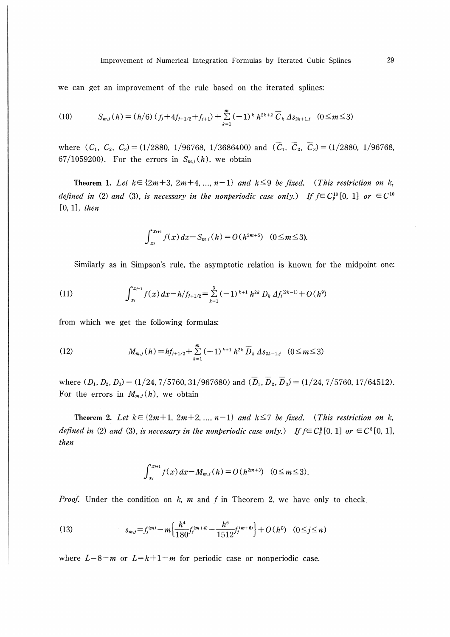we can get an improvement of the rule based on the iterated splines:

(10) 
$$
S_{m,j}(h) = (h/6) (f_j + 4f_{j+1/2} + f_{j+1}) + \sum_{k=1}^{m} (-1)^k h^{2k+2} \overline{C}_k \Delta s_{2k+1,j} \quad (0 \le m \le 3)
$$

where  $(C_1, C_2, C_3) = (1/2880, 1/96768, 1/3686400)$  and  $(\overline{C}_1, \overline{C}_2, \overline{C}_3) = (1/2880, 1/96768,$ 67/1059200). For the errors in  $S_{m,j}(h)$ , we obtain

Theorem 1. Let  $k \in \{2m+3, 2m+4, ..., n-1\}$  and  $k \leq 9$  be fixed. (This restriction on k, defined in (2) and (3), is necessary in the nonperiodic case only.) If  $f \in C_b^{10}[0, 1]$  or  $\in C^{10}$  $[0, 1]$ , then

$$
\int_{x_i}^{x_{i+1}} f(x) dx - S_{m,i}(h) = O(h^{2m+5}) \quad (0 \le m \le 3).
$$

Similarly as in Simpson's rule, the asymptotic relation is known for the midpoint one:

(11) 
$$
\int_{x_j}^{x_{j+1}} f(x) dx - h/f_{j+1/2} = \sum_{k=1}^{3} (-1)^{k+1} h^{2k} D_k \Delta f_j^{(2k-1)} + O(h^9)
$$

from which we get the following formulas:

(12) 
$$
M_{m,j}(h) = hf_{j+1/2} + \sum_{k=1}^{m} (-1)^{k+1} h^{2k} \overline{D}_k \Delta s_{2k-1,j} \quad (0 \leq m \leq 3)
$$

where  $(D_1, D_2, D_3) = (1/24, 7/5760, 31/967680)$  and  $(\overline{D}_1, \overline{D}_2, \overline{D}_3) = (1/24, 7/5760, 17/64512)$ . For the errors in  $M_{m,j}(h)$ , we obtain

Theorem 2. Let  $k \in \{2m+1, 2m+2, ..., n-1\}$  and  $k \leq 7$  be fixed. (This restriction on k, defined in (2) and (3), is necessary in the nonperiodic case only.) If  $f \in C_b^8[0, 1]$  or  $\in C^8[0, 1]$ , then

$$
\int_{x_i}^{x_{i+1}} f(x) dx - M_{m,i}(h) = O(h^{2m+3}) \quad (0 \le m \le 3).
$$

*Proof.* Under the condition on  $k$ , m and  $f$  in Theorem 2, we have only to check

(13) 
$$
s_{m,j} = f_j^{(m)} - m \left\{ \frac{h^4}{180} f_j^{(m+4)} - \frac{h^6}{1512} f_j^{(m+6)} \right\} + O(h^L) \quad (0 \le j \le n)
$$

where  $L=8-m$  or  $L=k+1-m$  for periodic case or nonperiodic case.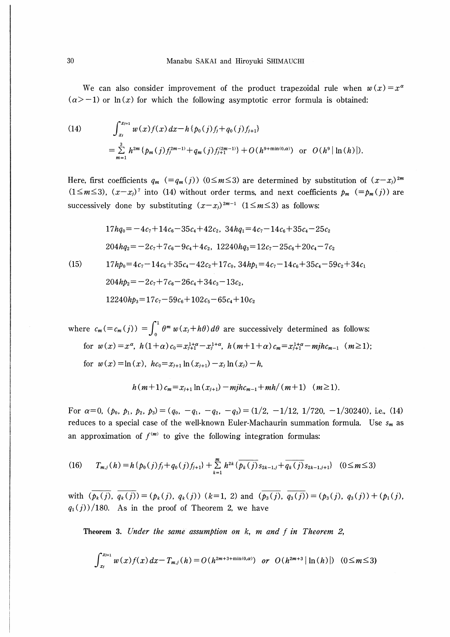We can also consider improvement of the product trapezoidal rule when  $w(x) = x^{\alpha}$  $(\alpha > -1)$  or ln(x) for which the following asymptotic error formula is obtained:

(14) 
$$
\int_{x_j}^{x_{j+1}} w(x) f(x) dx - h \{p_0(j)f_j + q_0(j)f_{j+1}\} = \sum_{m=1}^{3} h^{2m} \{p_m(j)f_j^{2m-1} + q_m(j)f_{j+1}^{(2m-1)}\} + O(h^{9 + \min(0,\alpha)}) \text{ or } O(h^9 | \ln(h)|).
$$

Here, first coefficients  $q_m$  (= $q_m(j)$ ) (0≤m≤3) are determined by substitution of  $(x-x_j)^{2m}$  $(1\leq m\leq 3)$ ,  $(x-x_j)^7$  into (14) without order terms, and next coefficients  $p_m$  (= $p_m(j)$ ) are successively done by substituting  $(x-x_i)^{2m-1}$  (1≤m≤3) as follows:

$$
17hq_0 = -4c_7 + 14c_6 - 35c_4 + 42c_2, \ 34hq_1 = 4c_7 - 14c_6 + 35c_4 - 25c_2
$$
  

$$
204hq_2 = -2c_7 + 7c_6 - 9c_4 + 4c_2, \ 12240hq_3 = 12c_7 - 25c_6 + 20c_4 - 7c_2
$$

 $(15)$ 

$$
17hp_0 = 4c_7 - 14c_6 + 35c_4 - 42c_2 + 17c_0, 34hp_1 = 4c_7 - 14c_6 + 35c_4 - 59c_2 + 34c_1
$$
  
\n
$$
204hp_2 = -2c_7 + 7c_6 - 26c_4 + 34c_3 - 13c_2,
$$
  
\n
$$
12240hp_3 = 17c_7 - 59c_6 + 102c_5 - 65c_4 + 10c_2
$$

where  $c_m (= c_m(j)) = \int_0^{\infty} \theta^m w(x_j + h\theta) d\theta$  are successively determined as follows: for  $w(x)=x^{\alpha}$ ,  $h(1+\alpha)c_0=x_{i+1}^{1+\alpha}-x_i^{1+\alpha}$ ,  $h(m+1+\alpha)c_m=x_{i+1}^{1+\alpha}-mjhc_{m-1}$   $(m\geq 1);$ for  $w(x) = \ln(x)$ ,  $hc_0 = x_{i+1} \ln(x_{i+1}) - x_i \ln(x_i) - h$ ,

$$
h(m+1)c_m = x_{j+1} \ln(x_{j+1}) - m j h c_{m-1} + m h/(m+1) \quad (m \ge 1).
$$

For  $\alpha=0$ ,  $(p_0, p_1, p_2, p_3)=(q_0, -q_1, -q_2, -q_3)=(1/2, -1/12, 1/720, -1/30240)$ , i.e., (14) reduces to a special case of the well-known Euler-Machaurin summation formula. Use  $s_m$  as an approximation of  $f^{(m)}$  to give the following integration formulas:

$$
(16) \t T_{m,j}(h) = h\{p_0(j)f_j + q_0(j)f_{j+1}\} + \sum_{k=1}^m h^{2k} \{\overline{p_k(j)}s_{2k-1,j} + \overline{q_k(j)}s_{2k-1,j+1}\} \t (0 \le m \le 3)
$$

with  $(\overline{p_k(j)}, \overline{q_k(j)}) = (p_k(j), q_k(j))$   $(k=1, 2)$  and  $(\overline{p_3(j)}, \overline{q_3(j)}) = (p_3(j), q_3(j)) + (p_1(j),$  $q_1(j)/180$ . As in the proof of Theorem 2, we have

Theorem 3. Under the same assumption on k, m and f in Theorem 2,

$$
\int_{x_j}^{x_{j+1}} w(x) f(x) dx - T_{m,j}(h) = O(h^{2m+3+\min(0,\alpha)}) \text{ or } O(h^{2m+3} |\ln(h)|) \quad (0 \le m \le 3)
$$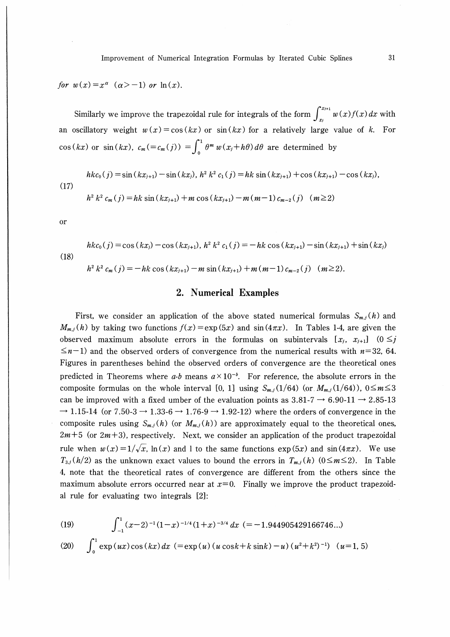for  $w(x)=x^{\alpha}$   $(\alpha>-1)$  or  $\ln(x)$ .

Similarly we improve the trapezoidal rule for integrals of the form  $\int_{x_j}^{x_{j+1}} w(x) f(x)\,dx$  with an oscillatory weight  $w(x) = cos(kx)$  or  $sin(kx)$  for a relatively large value of k. For  $\cos(kx)$  or  $\sin(kx)$ ,  $c_m (=c_m(j)) = \int \theta^m w(x_j+h\theta) d\theta$  are determined by

$$
hkc_0(j) = \sin(kx_{j+1}) - \sin(kx_j), \; h^2 \; k^2 \; c_1(j) = hk \; \sin(kx_{j+1}) + \cos(kx_{j+1}) - \cos(kx_j), \tag{17}
$$

$$
h^{2} k^{2} c_{m}(j) = hk \sin(kx_{j+1}) + m \cos(kx_{j+1}) - m(m-1) c_{m-2}(j) \quad (m \ge 2)
$$

Or

$$
hk c_0(j) = \cos(kx_j) - \cos(kx_{j+1}), \; h^2 \; k^2 \; c_1(j) = -hk \; \cos(kx_{j+1}) - \sin(kx_{j+1}) + \sin(kx_j)
$$
\n
$$
h^2 \; k^2 \; c_m(j) = -hk \; \cos(kx_{j+1}) - m \; \sin(kx_{j+1}) + m(m-1) \; c_{m-2}(j) \quad (m \ge 2).
$$

## 2. Numerical Examples

First, we consider an application of the above stated numerical formulas  $S_{m,j}(h)$  and  $M_{m,j}(h)$  by taking two functions  $f(x) = \exp(5x)$  and  $\sin(4\pi x)$ . In Tables 1-4, are given the observed maximum absolute errors in the formulas on subintervals  $[x_j, x_{j+1}]$   $(0 \leq j)$  $\leq n-1$ ) and the observed orders of convergence from the numerical results with  $n=32$ , 64. Figures in parentheses behind the observed orders of convergence are the theoretical ones predicted in Theorems where a-b means  $a \times 10^{-b}$ . For reference, the absolute errors in the composite formulas on the whole interval [0, 1] using  $S_{m,j}(1/64)$  (or  $M_{m,j}(1/64)$ ),  $0 \le m \le 3$ can be improved with a fixed umber of the evaluation points as  $3.81\text{-}7 \rightarrow 6.90\text{-}11 \rightarrow 2.85\text{-}13$  $\rightarrow$  1.15-14 (or 7.50-3  $\rightarrow$  1.33-6  $\rightarrow$  1.76-9  $\rightarrow$  1.92-12) where the orders of convergence in the composite rules using  $S_{m,j}(h)$  (or  $M_{m,j}(h)$ ) are approximately equal to the theoretical ones,  $2m+5$  (or  $2m+3$ ), respectively. Next, we consider an application of the product trapezoidal rule when  $w(x)=1/\sqrt{x}$ , ln(x) and 1 to the same functions  $\exp(5x)$  and  $\sin(4\pi x)$ . We use  $T_{3,j}(h/2)$  as the unknown exact values to bound the errors in  $T_{m,j}(h)$  ( $0 \le m \le 2$ ). In Table 4, note that the theoretical rates of convergence are different from the others since the maximum absolute errors occurred near at  $x=0$ . Finally we improve the product trapezoidal rule for evaluating two integrals [2J:

(19) 
$$
\int_{-1}^{1} (x-2)^{-1} (1-x)^{-1/4} (1+x)^{-3/4} dx = -1.944905429166746...)
$$
  
(20) 
$$
\int_{0}^{1} \exp(ux) \cos(kx) dx = \exp(u) (u \cos k + k \sin k) - u) (u^{2} + k^{2})^{-1} (u = 1, 5)
$$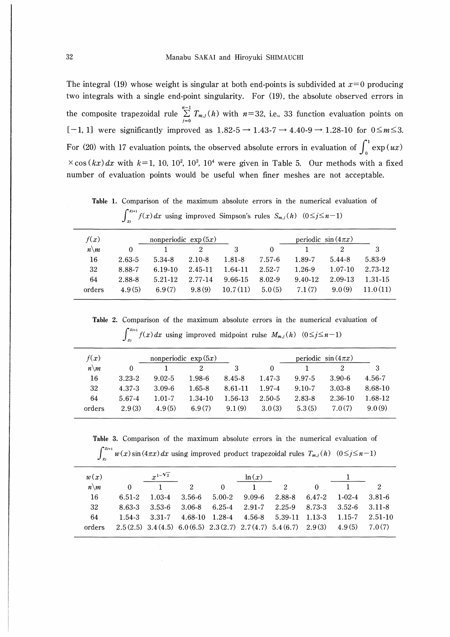The integral (19) whose weight is singular at both end-points is subdivided at  $x=0$  producing two integrals with a single end-point singularity. For (19), the absolute observed errors in  $n-1$ the composite trapezoidal rule  $\sum_{j=0}^{n} T_{m,j}(h)$  with  $n=32$ , i.e., 33 function evaluation points on  $[-1, 1]$  were significantly improved as  $1.82-5 \rightarrow 1.43-7 \rightarrow 4.40-9 \rightarrow 1.28-10$  for  $0 \le m \le 3$ . For (20) with 17 evaluation points, the observed absolute errors in evaluation of  $\int_{0}^{\cdot} \exp{(ux)}$  $\times$ cos(kx)dx with k=1, 10, 10<sup>2</sup>, 10<sup>3</sup>, 10<sup>4</sup> were given in Table 5. Our methods with a fixed number of evaluation points would be useful when finer meshes are not acceptable.

Table 1. Comparison of the maximum absolute errors in the numerical evaluation of  $\int_{-\infty}^{x_{i+1}} f(x) dx$  using improved Simpson's rules  $S_{m,i}(h)$   $(0 \le j \le n-1)$ 

| f(x)            |          | nonperiodic $\exp(5x)$ |            |          |          |         |             |         |
|-----------------|----------|------------------------|------------|----------|----------|---------|-------------|---------|
| $n\backslash m$ | $\theta$ |                        |            | 3        | $\theta$ |         |             | З       |
| 16              | 2.63-5   | 5.34-8                 | $2.10 - 8$ | 1.81-8   | 7.57-6   | 1.89-7  | 5.44-8      | 5.83-9  |
| 32              | 8.88-7   | $6.19-10$              | 2.45-11    | 1.64-11  | 2.52-7   | 1.26-9  | $1.07 - 10$ | 2.73-12 |
| 64              | 2.88-8   | 5.21-12                | 2.77-14    | 9.66-15  | 8.02-9   | 9.40-12 | 2.09-13     | 1.31-15 |
| orders          | 4.9(5)   | 6.9(7)                 | 9.8(9)     | 10.7(11) | 5.0(5)   | 7.1(7)  | 9.0(9)      | .0(11)  |

Table 2. Comparison of the maximum absolute errors in the numerical evaluation of  $\int_{x+1}^{x+1} f(x) dx$  using improved midpoint rulse  $M_{m,j}(h)$  ( $0 \le j \le n-1$ )  $\frac{1}{2}$ 

| f(x)            |            |            | nonperiodic $\exp(5x)$ |         |          |            |            |         |
|-----------------|------------|------------|------------------------|---------|----------|------------|------------|---------|
| $n\backslash m$ | $\theta$   |            |                        | 3       | $\theta$ |            | 2          | 3       |
| 16              | $3.23 - 2$ | $9.02 - 5$ | $1.98 - 6$             | 8.45-8  | 1.47-3   | 9.97-5     | $3.90 - 6$ | 4.56-7  |
| 32              | 4.37-3     | $3.09 - 6$ | 1.65-8                 | 8.61-11 | 1.97-4   | $9.10 - 7$ | $3.03 - 8$ | 8.68-10 |
| 64              | 5.67-4     | $1.01 - 7$ | 1.34-10                | 1.56-13 | 2.50-5   | 2.83-8     | 2.36-10    | 1.68-12 |
| orders          | 2.9(3)     | 4.9(5)     | 6.9(7)                 | 9.1(9)  | 3.0(3)   | 5.3(5)     | 7.0(7)     | 9.0(9)  |

Table 3. Comparison of the maximum absolute errors in the numerical evaluation of  $\int_{-\infty}^{x_{i+1}} w(x) \sin(4\pi x) dx$  using improved product trapezoidal rules  $T_{m,j}(h)$   $(0 \le j \le n-1)$ 

| w(x)            |        | $x^{1-\sqrt{2}}$ |             |          | ln(x)  |                                                                            |          |              |             |
|-----------------|--------|------------------|-------------|----------|--------|----------------------------------------------------------------------------|----------|--------------|-------------|
| $n\backslash m$ |        |                  | $2^{\circ}$ | $\theta$ |        | $\overline{2}$                                                             | $\Omega$ |              |             |
| 16              | 6.51-2 | $1.03 - 4$       | 3.56-6      | 5.00-2   | 9.09-6 | 2.88-8                                                                     | 6.47-2   | $1 - 02 - 4$ | -3.81-6     |
| 32              | 8.63-3 | - 3.53-6         |             |          |        | $3.06-8$ $6.25-4$ $2.91-7$ $2.25-9$ $8.73-3$                               |          | 3.52-6       | -3.11-8     |
| 64              | 1.54-3 |                  |             |          |        | $3.31-7$ $4.68-10$ $1.28-4$ $4.56-8$ $5.39-11$ $1.13-3$ $1.15-7$           |          |              | $2.51 - 10$ |
| orders          |        |                  |             |          |        | $2.5(2.5)$ $3.4(4.5)$ $6.0(6.5)$ $2.3(2.7)$ $2.7(4.7)$ $5.4(6.7)$ $2.9(3)$ |          | 4.9(5)       | 7.0(7)      |
|                 |        |                  |             |          |        |                                                                            |          |              |             |